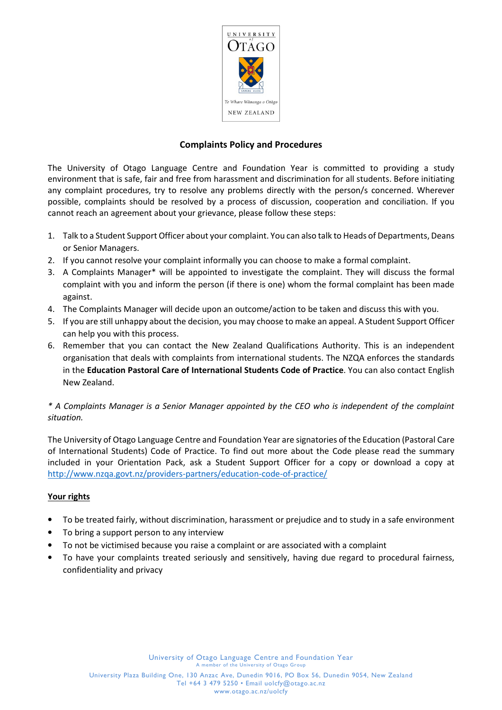

## Complaints Policy and Procedures

The University of Otago Language Centre and Foundation Year is committed to providing a study environment that is safe, fair and free from harassment and discrimination for all students. Before initiating any complaint procedures, try to resolve any problems directly with the person/s concerned. Wherever possible, complaints should be resolved by a process of discussion, cooperation and conciliation. If you cannot reach an agreement about your grievance, please follow these steps:

- 1. Talk to a Student Support Officer about your complaint. You can also talk to Heads of Departments, Deans or Senior Managers.
- 2. If you cannot resolve your complaint informally you can choose to make a formal complaint.
- 3. A Complaints Manager\* will be appointed to investigate the complaint. They will discuss the formal complaint with you and inform the person (if there is one) whom the formal complaint has been made against.
- 4. The Complaints Manager will decide upon an outcome/action to be taken and discuss this with you.
- 5. If you are still unhappy about the decision, you may choose to make an appeal. A Student Support Officer can help you with this process.
- 6. Remember that you can contact the New Zealand Qualifications Authority. This is an independent organisation that deals with complaints from international students. The NZQA enforces the standards in the Education Pastoral Care of International Students Code of Practice. You can also contact English New Zealand.

## \* A Complaints Manager is a Senior Manager appointed by the CEO who is independent of the complaint situation.

The University of Otago Language Centre and Foundation Year are signatories of the Education (Pastoral Care of International Students) Code of Practice. To find out more about the Code please read the summary included in your Orientation Pack, ask a Student Support Officer for a copy or download a copy at http://www.nzqa.govt.nz/providers-partners/education-code-of-practice/

## Your rights

- To be treated fairly, without discrimination, harassment or prejudice and to study in a safe environment
- To bring a support person to any interview
- To not be victimised because you raise a complaint or are associated with a complaint
- To have your complaints treated seriously and sensitively, having due regard to procedural fairness, confidentiality and privacy